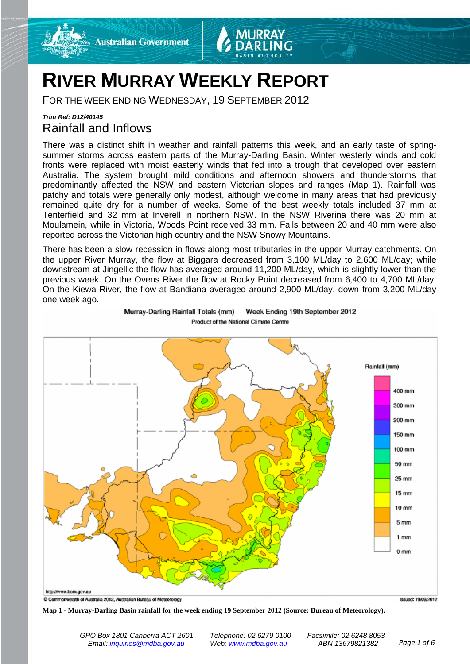



# **RIVER MURRAY WEEKLY REPORT**

FOR THE WEEK ENDING WEDNESDAY, 19 SEPTEMBER 2012

### *Trim Ref: D12/40145* Rainfall and Inflows

There was a distinct shift in weather and rainfall patterns this week, and an early taste of springsummer storms across eastern parts of the Murray-Darling Basin. Winter westerly winds and cold fronts were replaced with moist easterly winds that fed into a trough that developed over eastern Australia. The system brought mild conditions and afternoon showers and thunderstorms that predominantly affected the NSW and eastern Victorian slopes and ranges (Map 1). Rainfall was patchy and totals were generally only modest, although welcome in many areas that had previously remained quite dry for a number of weeks. Some of the best weekly totals included 37 mm at Tenterfield and 32 mm at Inverell in northern NSW. In the NSW Riverina there was 20 mm at Moulamein, while in Victoria, Woods Point received 33 mm. Falls between 20 and 40 mm were also reported across the Victorian high country and the NSW Snowy Mountains.

There has been a slow recession in flows along most tributaries in the upper Murray catchments. On the upper River Murray, the flow at Biggara decreased from 3,100 ML/day to 2,600 ML/day; while downstream at Jingellic the flow has averaged around 11,200 ML/day, which is slightly lower than the previous week. On the Ovens River the flow at Rocky Point decreased from 6,400 to 4,700 ML/day. On the Kiewa River, the flow at Bandiana averaged around 2,900 ML/day, down from 3,200 ML/day one week ago.



Murray-Darling Rainfall Totals (mm) Week Ending 19th September 2012 Product of the National Climate Centre

**Map 1 - Murray-Darling Basin rainfall for the week ending 19 September 2012 (Source: Bureau of Meteorology).**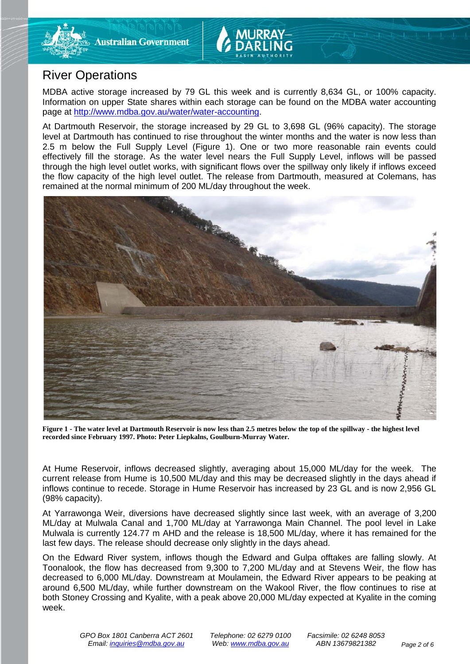

## River Operations

MDBA active storage increased by 79 GL this week and is currently 8,634 GL, or 100% capacity. Information on upper State shares within each storage can be found on the MDBA water accounting page at [http://www.mdba.gov.au/water/water-accounting.](http://www.mdba.gov.au/water/water-accounting)

At Dartmouth Reservoir, the storage increased by 29 GL to 3,698 GL (96% capacity). The storage level at Dartmouth has continued to rise throughout the winter months and the water is now less than 2.5 m below the Full Supply Level (Figure 1). One or two more reasonable rain events could effectively fill the storage. As the water level nears the Full Supply Level, inflows will be passed through the high level outlet works, with significant flows over the spillway only likely if inflows exceed the flow capacity of the high level outlet. The release from Dartmouth, measured at Colemans, has remained at the normal minimum of 200 ML/day throughout the week.



**Figure 1 - The water level at Dartmouth Reservoir is now less than 2.5 metres below the top of the spillway - the highest level recorded since February 1997. Photo: Peter Liepkalns, Goulburn-Murray Water.**

At Hume Reservoir, inflows decreased slightly, averaging about 15,000 ML/day for the week. The current release from Hume is 10,500 ML/day and this may be decreased slightly in the days ahead if inflows continue to recede. Storage in Hume Reservoir has increased by 23 GL and is now 2,956 GL (98% capacity).

At Yarrawonga Weir, diversions have decreased slightly since last week, with an average of 3,200 ML/day at Mulwala Canal and 1,700 ML/day at Yarrawonga Main Channel. The pool level in Lake Mulwala is currently 124.77 m AHD and the release is 18,500 ML/day, where it has remained for the last few days. The release should decrease only slightly in the days ahead.

On the Edward River system, inflows though the Edward and Gulpa offtakes are falling slowly. At Toonalook, the flow has decreased from 9,300 to 7,200 ML/day and at Stevens Weir, the flow has decreased to 6,000 ML/day. Downstream at Moulamein, the Edward River appears to be peaking at around 6,500 ML/day, while further downstream on the Wakool River, the flow continues to rise at both Stoney Crossing and Kyalite, with a peak above 20,000 ML/day expected at Kyalite in the coming week.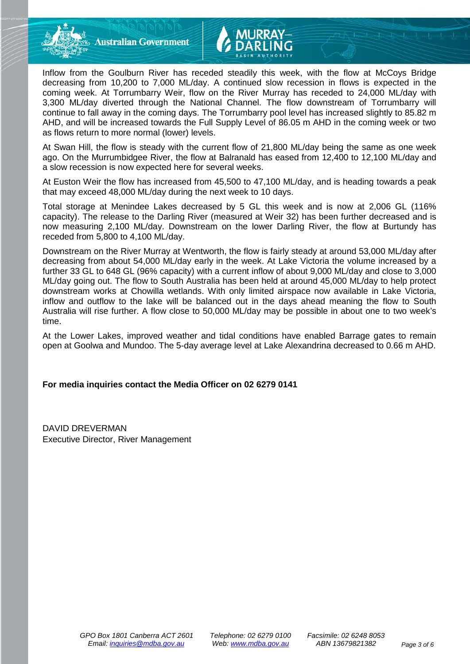**Australian Government** 

Inflow from the Goulburn River has receded steadily this week, with the flow at McCoys Bridge decreasing from 10,200 to 7,000 ML/day. A continued slow recession in flows is expected in the coming week. At Torrumbarry Weir, flow on the River Murray has receded to 24,000 ML/day with 3,300 ML/day diverted through the National Channel. The flow downstream of Torrumbarry will continue to fall away in the coming days. The Torrumbarry pool level has increased slightly to 85.82 m AHD, and will be increased towards the Full Supply Level of 86.05 m AHD in the coming week or two as flows return to more normal (lower) levels.

At Swan Hill, the flow is steady with the current flow of 21,800 ML/day being the same as one week ago. On the Murrumbidgee River, the flow at Balranald has eased from 12,400 to 12,100 ML/day and a slow recession is now expected here for several weeks.

At Euston Weir the flow has increased from 45,500 to 47,100 ML/day, and is heading towards a peak that may exceed 48,000 ML/day during the next week to 10 days.

Total storage at Menindee Lakes decreased by 5 GL this week and is now at 2,006 GL (116% capacity). The release to the Darling River (measured at Weir 32) has been further decreased and is now measuring 2,100 ML/day. Downstream on the lower Darling River, the flow at Burtundy has receded from 5,800 to 4,100 ML/day.

Downstream on the River Murray at Wentworth, the flow is fairly steady at around 53,000 ML/day after decreasing from about 54,000 ML/day early in the week. At Lake Victoria the volume increased by a further 33 GL to 648 GL (96% capacity) with a current inflow of about 9,000 ML/day and close to 3,000 ML/day going out. The flow to South Australia has been held at around 45,000 ML/day to help protect downstream works at Chowilla wetlands. With only limited airspace now available in Lake Victoria, inflow and outflow to the lake will be balanced out in the days ahead meaning the flow to South Australia will rise further. A flow close to 50,000 ML/day may be possible in about one to two week's time.

At the Lower Lakes, improved weather and tidal conditions have enabled Barrage gates to remain open at Goolwa and Mundoo. The 5-day average level at Lake Alexandrina decreased to 0.66 m AHD.

#### **For media inquiries contact the Media Officer on 02 6279 0141**

DAVID DREVERMAN Executive Director, River Management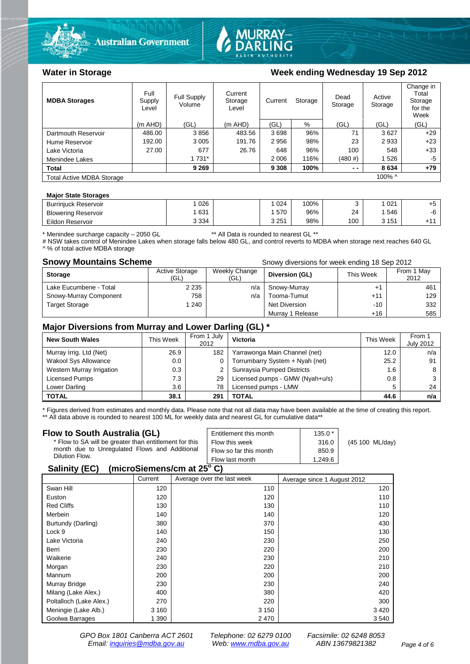



#### Water in Storage Week ending Wednesday 19 Sep 2012

| <b>MDBA Storages</b>                       | Full<br>Supply<br>Level | Full Supply<br>Volume | Current<br>Storage<br>Level | Current<br>Storage |      | Dead<br>Storage | Active<br>Storage | Change in<br>Total<br>Storage<br>for the<br>Week |
|--------------------------------------------|-------------------------|-----------------------|-----------------------------|--------------------|------|-----------------|-------------------|--------------------------------------------------|
|                                            | $(m$ AHD)               | (GL)                  | (m AHD)                     | (GL)               | %    | (GL)            | (GL)              | (GL)                                             |
| Dartmouth Reservoir                        | 486.00                  | 3856                  | 483.56                      | 3698               | 96%  | 71              | 3627              | $+29$                                            |
| Hume Reservoir                             | 192.00                  | 3 0 0 5               | 191.76                      | 2956               | 98%  | 23              | 2933              | $+23$                                            |
| Lake Victoria                              | 27.00                   | 677                   | 26.76                       | 648                | 96%  | 100             | 548               | $+33$                                            |
| Menindee Lakes                             |                         | 1 731*                |                             | 2 0 0 6            | 116% | (480#)          | 1526              | -5                                               |
| <b>Total</b>                               |                         | 9 2 6 9               |                             | 9 3 0 8            | 100% | $ -$            | 8634              | $+79$                                            |
| 100% ^<br><b>Total Active MDBA Storage</b> |                         |                       |                             |                    |      |                 |                   |                                                  |

#### **Major State Storages**

| <b>Burrinjuck Reservoir</b> | 026     | 024   | 100% |     | 021       | ∼   |
|-----------------------------|---------|-------|------|-----|-----------|-----|
| <b>Blowering Reservoir</b>  | 631     | 570   | 96%  | 24  | 546       | -6  |
| Eildon Reservoir            | 3 3 3 4 | 3 251 | 98%  | 100 | 151<br>ιJ | .11 |

\* Menindee surcharge capacity – 2050 GL \*\* All Data is rounded to nearest GL \*\*

# NSW takes control of Menindee Lakes when storage falls below 480 GL, and control reverts to MDBA when storage next reaches 640 GL A % of total active MDBA storage

**Snowy Mountains Scheme Snowy diversions for week ending 18 Sep 2012** 

| <b>Storage</b>         | <b>Active Storage</b><br>(GL) | Weekly Change<br>(GL) | Diversion (GL)   | This Week | From 1 May<br>2012 |
|------------------------|-------------------------------|-----------------------|------------------|-----------|--------------------|
| Lake Eucumbene - Total | 2 2 3 5                       | n/a                   | Snowy-Murray     | +         | 461                |
| Snowy-Murray Component | 758                           | n/a                   | Tooma-Tumut      | $+11$     | 129                |
| <b>Target Storage</b>  | 240                           |                       | Net Diversion    | $-10$     | 332                |
|                        |                               |                       | Murray 1 Release | +16       | 585                |

#### **Major Diversions from Murray and Lower Darling (GL) \***

| <b>New South Wales</b>    | This Week | From 1 July<br>2012 | Victoria                        | This Week | From 1<br><b>July 2012</b> |
|---------------------------|-----------|---------------------|---------------------------------|-----------|----------------------------|
| Murray Irrig. Ltd (Net)   | 26.9      | 182                 | Yarrawonga Main Channel (net)   | 12.0      | n/a                        |
| Wakool Sys Allowance      | 0.0       | 0                   | Torrumbarry System + Nyah (net) | 25.2      | 91                         |
| Western Murray Irrigation | 0.3       |                     | Sunraysia Pumped Districts      | 1.6       |                            |
| Licensed Pumps            | 7.3       | 29                  | Licensed pumps - GMW (Nyah+u/s) | 0.8       |                            |
| Lower Darling             | 3.6       | 78                  | Licensed pumps - LMW            | 5         | 24                         |
| <b>TOTAL</b>              | 38.1      | 291                 | TOTAL                           | 44.6      | n/a                        |

\* Figures derived from estimates and monthly data. Please note that not all data may have been available at the time of creating this report.

\*\* All data above is rounded to nearest 100 ML for weekly data and nearest GL for cumulative data\*\*

| Flow to South Australia (GL)                              | Entitlement this month | $135.0*$ |                 |  |  |  |
|-----------------------------------------------------------|------------------------|----------|-----------------|--|--|--|
| * Flow to SA will be greater than entitlement for this    | Flow this week         | 316.0    | (45 100 ML/day) |  |  |  |
| month due to Unregulated Flows and Additional             | Flow so far this month | 850.9    |                 |  |  |  |
| Dilution Flow.                                            | Flow last month        | 1.249.6  |                 |  |  |  |
| $\mathbf{A}$ , $\mathbf{B}$ , $\mathbf{A}$ , $\mathbf{B}$ |                        |          |                 |  |  |  |

#### **Salinity (EC) (microSiemens/cm at 25o C)**

|                         | Current | Average over the last week | Average since 1 August 2012 |
|-------------------------|---------|----------------------------|-----------------------------|
| Swan Hill               | 120     | 110                        | 120                         |
| Euston                  | 120     | 120                        | 110                         |
| <b>Red Cliffs</b>       | 130     | 130                        | 110                         |
| Merbein                 | 140     | 140                        | 120                         |
| Burtundy (Darling)      | 380     | 370                        | 430                         |
| Lock 9                  | 140     | 150                        | 130                         |
| Lake Victoria           | 240     | 230                        | 250                         |
| Berri                   | 230     | 220                        | 200                         |
| Waikerie                | 240     | 230                        | 210                         |
| Morgan                  | 230     | 220                        | 210                         |
| Mannum                  | 200     | 200                        | 200                         |
| Murray Bridge           | 230     | 230                        | 240                         |
| Milang (Lake Alex.)     | 400     | 380                        | 420                         |
| Poltalloch (Lake Alex.) | 270     | 220                        | 300                         |
| Meningie (Lake Alb.)    | 3 1 6 0 | 3 1 5 0                    | 3420                        |
| Goolwa Barrages         | 1 390   | 2470                       | 3 5 4 0                     |

*GPO Box 1801 Canberra ACT 2601 Telephone: 02 6279 0100 Facsimile: 02 6248 8053 Email: [inquiries@mdba.gov.au](mailto:inquiries@mdba.gov.au) Web: [www.mdba.gov.au](http://www.mdba.gov.au/) ABN 13679821382 Page 4 of 6*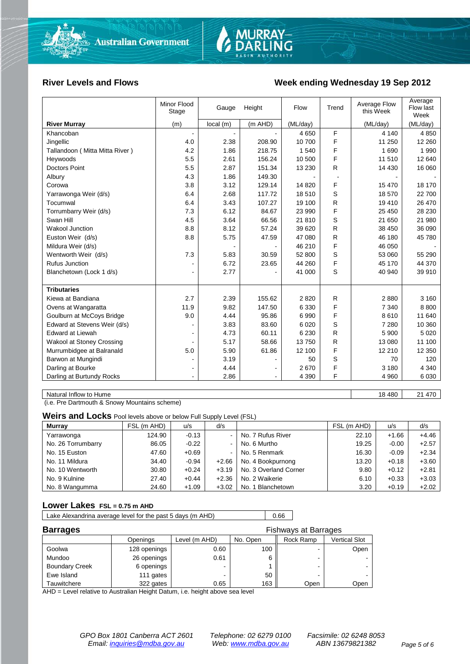

#### River Levels and Flows **Week ending Wednesday 19 Sep 2012**

|                                | Minor Flood<br>Stage         | Gauge          | Height                       | Flow     | Trend | Average Flow<br>this Week | Average<br>Flow last<br>Week |
|--------------------------------|------------------------------|----------------|------------------------------|----------|-------|---------------------------|------------------------------|
| <b>River Murray</b>            | (m)                          | local(m)       | (m AHD)                      | (ML/day) |       | (ML/day)                  | (ML/day)                     |
| Khancoban                      | $\blacksquare$               | $\blacksquare$ |                              | 4 6 5 0  | F     | 4 1 4 0                   | 4 8 5 0                      |
| Jingellic                      | 4.0                          | 2.38           | 208.90                       | 10 700   | F     | 11 250                    | 12 2 60                      |
| Tallandoon (Mitta Mitta River) | 4.2                          | 1.86           | 218.75                       | 1 540    | F     | 1690                      | 1990                         |
| Heywoods                       | 5.5                          | 2.61           | 156.24                       | 10 500   | F     | 11 510                    | 12 640                       |
| <b>Doctors Point</b>           | 5.5                          | 2.87           | 151.34                       | 13 2 30  | R.    | 14 4 30                   | 16 060                       |
| Albury                         | 4.3                          | 1.86           | 149.30                       |          |       |                           |                              |
| Corowa                         | 3.8                          | 3.12           | 129.14                       | 14 8 20  | F     | 15 470                    | 18 170                       |
| Yarrawonga Weir (d/s)          | 6.4                          | 2.68           | 117.72                       | 18510    | S     | 18 570                    | 22 700                       |
| Tocumwal                       | 6.4                          | 3.43           | 107.27                       | 19 100   | R     | 19 410                    | 26 470                       |
| Torrumbarry Weir (d/s)         | 7.3                          | 6.12           | 84.67                        | 23 990   | F     | 25 450                    | 28 230                       |
| Swan Hill                      | 4.5                          | 3.64           | 66.56                        | 21810    | S     | 21 650                    | 21 980                       |
| Wakool Junction                | 8.8                          | 8.12           | 57.24                        | 39 620   | R     | 38 450                    | 36 090                       |
| Euston Weir (d/s)              | 8.8                          | 5.75           | 47.59                        | 47 080   | R     | 46 180                    | 45 780                       |
| Mildura Weir (d/s)             |                              |                |                              | 46 210   | F     | 46 050                    |                              |
| Wentworth Weir (d/s)           | 7.3                          | 5.83           | 30.59                        | 52 800   | S     | 53 060                    | 55 290                       |
| Rufus Junction                 |                              | 6.72           | 23.65                        | 44 260   | F     | 45 170                    | 44 370                       |
| Blanchetown (Lock 1 d/s)       | $\blacksquare$               | 2.77           |                              | 41 000   | S     | 40 940                    | 39 910                       |
|                                |                              |                |                              |          |       |                           |                              |
| <b>Tributaries</b>             |                              |                |                              |          |       |                           |                              |
| Kiewa at Bandiana              | 2.7                          | 2.39           | 155.62                       | 2820     | R     | 2880                      | 3 1 6 0                      |
| Ovens at Wangaratta            | 11.9                         | 9.82           | 147.50                       | 6 3 3 0  | F     | 7 3 4 0                   | 8800                         |
| Goulburn at McCoys Bridge      | 9.0                          | 4.44           | 95.86                        | 6990     | F     | 8610                      | 11 640                       |
| Edward at Stevens Weir (d/s)   |                              | 3.83           | 83.60                        | 6 0 20   | S     | 7 2 8 0                   | 10 360                       |
| <b>Edward at Liewah</b>        |                              | 4.73           | 60.11                        | 6 2 3 0  | R     | 5 900                     | 5 0 20                       |
| Wakool at Stoney Crossing      |                              | 5.17           | 58.66                        | 13750    | R     | 13 080                    | 11 100                       |
| Murrumbidgee at Balranald      | 5.0                          | 5.90           | 61.86                        | 12 100   | F     | 12 210                    | 12 3 50                      |
| Barwon at Mungindi             |                              | 3.19           |                              | 50       | S     | 70                        | 120                          |
| Darling at Bourke              | $\qquad \qquad \blacksquare$ | 4.44           | $\qquad \qquad \blacksquare$ | 2670     | F     | 3 1 8 0                   | 4 3 4 0                      |
| Darling at Burtundy Rocks      |                              | 2.86           |                              | 4 3 9 0  | F     | 4 9 6 0                   | 6 0 3 0                      |

Natural Inflow to Hume 18 480 21 470

(i.e. Pre Dartmouth & Snowy Mountains scheme)

**Weirs and Locks** Pool levels above or below Full Supply Level (FSL)

| <b>Murrav</b>      | FSL (m AHD) | u/s     | d/s     |                       | FSL (m AHD) | u/s     | d/s     |
|--------------------|-------------|---------|---------|-----------------------|-------------|---------|---------|
| Yarrawonga         | 124.90      | $-0.13$ | ۰.      | No. 7 Rufus River     | 22.10       | $+1.66$ | $+4.46$ |
| No. 26 Torrumbarry | 86.05       | $-0.22$ | $\sim$  | No. 6 Murtho          | 19.25       | $-0.00$ | $+2.57$ |
| No. 15 Euston      | 47.60       | $+0.69$ | ۰.      | No. 5 Renmark         | 16.30       | $-0.09$ | $+2.34$ |
| No. 11 Mildura     | 34.40       | $-0.94$ | $+2.66$ | No. 4 Bookpurnong     | 13.20       | $+0.18$ | $+3.60$ |
| No. 10 Wentworth   | 30.80       | $+0.24$ | $+3.19$ | No. 3 Overland Corner | 9.80        | $+0.12$ | $+2.81$ |
| No. 9 Kulnine      | 27.40       | $+0.44$ | $+2.36$ | No. 2 Waikerie        | 6.10        | $+0.33$ | $+3.03$ |
| No. 8 Wangumma     | 24.60       | $+1.09$ | $+3.02$ | No. 1 Blanchetown     | 3.20        | $+0.19$ | $+2.02$ |

#### **Lower Lakes FSL = 0.75 m AHD**

Lake Alexandrina average level for the past 5 days (m AHD) 0.66

| <b>Barrages</b>       | <b>Fishways at Barrages</b> |               |          |           |               |  |
|-----------------------|-----------------------------|---------------|----------|-----------|---------------|--|
|                       | Openings                    | Level (m AHD) | No. Open | Rock Ramp | Vertical Slot |  |
| Goolwa                | 128 openings                | 0.60          | 100      | -         | Open          |  |
| Mundoo                | 26 openings                 | 0.61          | 6        | -         |               |  |
| <b>Boundary Creek</b> | 6 openings                  |               |          | -         |               |  |
| Ewe Island            | 111 gates                   |               | 50       | -         |               |  |
| Tauwitchere           | 322 gates                   | 0.65          | 163      | Open      | Open          |  |

AHD = Level relative to Australian Height Datum, i.e. height above sea level